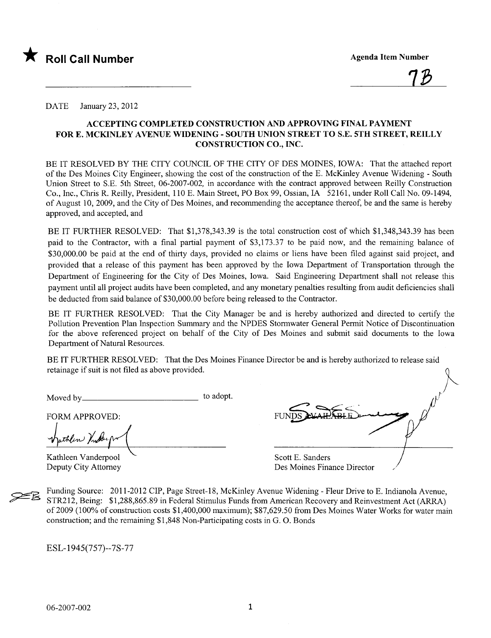

<u>7B</u>

DATE January 23, 2012

#### ACCEPTING COMPLETED CONSTRUCTION AND APPROVING FINAL PAYMENT FOR E. MCKINLEY AVENUE WIDENING - SOUTH UNION STREET TO S.E. 5TH STREET, REILLY CONSTRUCTION CO., INC.

BE IT RESOLVED BY THE CITY COUNCIL OF THE CITY OF DES MOINES, IOWA: That the attached report of the Des Moines City Engineer, showing the cost of the construction of the E. McKinley A venue Widening - South Union Street to S.E. 5th Street, 06-2007-002, in accordance with the contract approved between Reily Construction Co., Inc., Chris R. Reily, President, 110 E. Main Street, PO Box 99, Ossian, IA 52161, under Roll Call No. 09-1494, of August 10,2009, and the City of Des Moines, and recommending the acceptance thereof, be and the same is hereby approved, and accepted, and

BE IT FURTHER RESOLVED: That \$1,378,343.39 is the total construction cost of which \$1,348,343.39 has been paid to the Contractor, with a final partial payment of \$3,173.37 to be paid now, and the remaining balance of \$30,000.00 be paid at the end of thirty days, provided no claims or liens have been filed against said project, and provided that a release of this payment has been approved by the Iowa Department of Transportation through the Department of Engineering for the City of Des Moines, Iowa. Said Engineering Department shall not release this payment until all project audits have been completed, and any monetary penalties resulting from audit deficiencies shall be deducted from said balance of \$30,000.00 before being released to the Contractor.

BE IT FURTHER RESOLVED: That the City Manager be and is hereby authorized and directed to certify the Pollution Prevention Plan Inspection Summary and the NPDES Stormwater General Permit Notice of Discontinuation for the above referenced project on behalf of the City of Des Moines and submit said documents to the Iowa Department of Natural Resources.

BE IT FURTHER RESOLVED: That the Des Moines Finance Director be and is hereby authorized to release said retainage if suit is not filed as above provided.

Moved by to adopt.

FORM APPROVED:<br>whether Indurp

Kathleen Vanderpool Deputy City Attorney

Scott E. Sanders

Des Moines Finance Director

Funding Source: 2011-2012 CIP, Page Street-18, McKinley Avenue Widening - Fleur Drive to E. Indianola Avenue, STR212, Being: \$1,288,865.89 in Federal Stimulus Funds from American Recovery and Reinvestment Act (ARR) of2009 (100% of construction costs \$1,400,000 maximum); \$87,629.50 from Des Moines Water Works for water main construction; and the remaining \$1,848 Non-Participating costs in G. O. Bonds

ESL-1945(757)--7S-77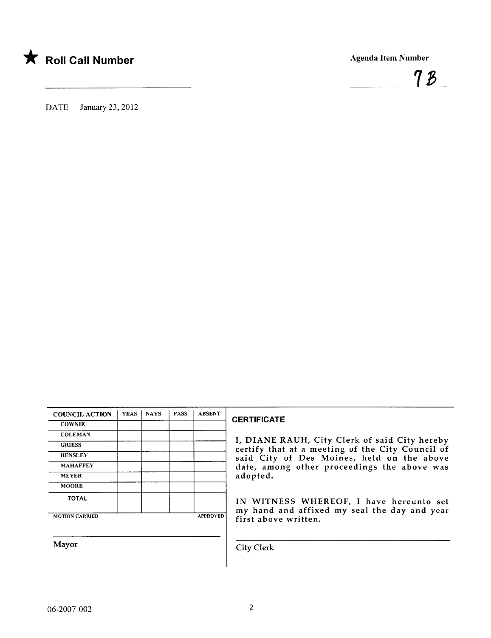



DATE January 23, 2012

| <b>COUNCIL ACTION</b> | <b>YEAS</b> | <b>NAYS</b> | <b>PASS</b> | <b>ABSENT</b>   |
|-----------------------|-------------|-------------|-------------|-----------------|
| <b>COWNIE</b>         |             |             |             |                 |
| <b>COLEMAN</b>        |             |             |             |                 |
| <b>GRIESS</b>         |             |             |             |                 |
| <b>HENSLEY</b>        |             |             |             |                 |
| <b>MAHAFFEY</b>       |             |             |             |                 |
| <b>MEYER</b>          |             |             |             |                 |
| <b>MOORE</b>          |             |             |             |                 |
| <b>TOTAL</b>          |             |             |             |                 |
| <b>MOTION CARRIED</b> |             |             |             | <b>APPROVED</b> |

#### **CERTIFICATE**

I, DIANE RAUH, City Clerk of said City hereby certify that at a meeting of the City Council of said City of Des Moines, held on the above date, among other proceedings the above was adopted.

IN WITNESS WHEREOF, I have hereunto set my hand and affixed my seal the day and year first above written.

Mayor Gity Clerk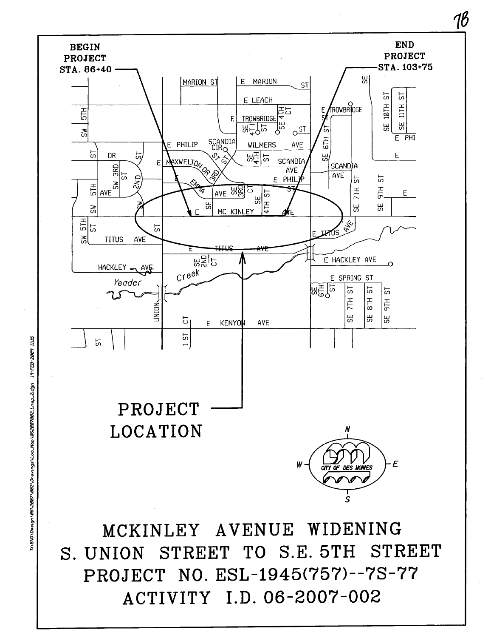

ACTIVITY I.D. 06-2007-002

Till ?002-833-r\*06\2007\092\Qrawn*gs\Loc\_Map\*062007082\_Lmap\_2.dgn 19-FEB-2009 11:15* 

18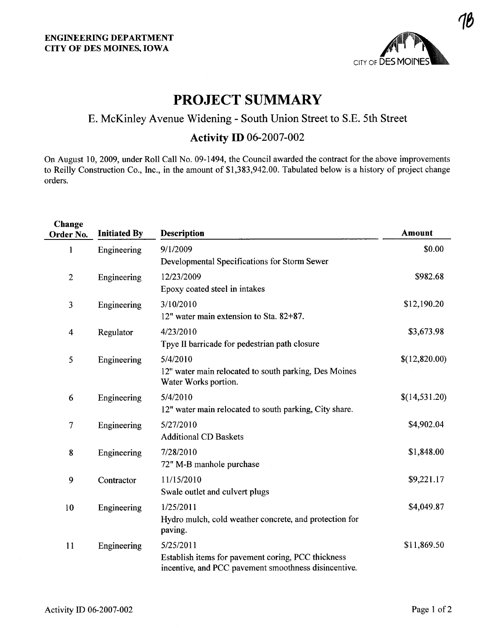

## PROJECT SUMMARY

# E. McKinley Avenue Widening - South Union Street to S.E. 5th Street

### Activity ID 06-2007-002

On August 10,2009, under Roll Call No. 09-1494, the Council awarded the contract for the above improvements to Reily Construction Co., Inc., in the amount of \$1,383,942.00. Tabulated below is a history of project change orders.

| Change<br>Order No.     | <b>Initiated By</b> | <b>Description</b>                                                                                                      | <b>Amount</b> |
|-------------------------|---------------------|-------------------------------------------------------------------------------------------------------------------------|---------------|
| 1                       | Engineering         | 9/1/2009<br>Developmental Specifications for Storm Sewer                                                                | \$0.00        |
| $\mathbf{2}$            | Engineering         | 12/23/2009<br>Epoxy coated steel in intakes                                                                             | \$982.68      |
| 3                       | Engineering         | 3/10/2010<br>12" water main extension to Sta. 82+87.                                                                    | \$12,190.20   |
| $\overline{\mathbf{4}}$ | Regulator           | 4/23/2010<br>Tpye II barricade for pedestrian path closure                                                              | \$3,673.98    |
| 5                       | Engineering         | 5/4/2010<br>12" water main relocated to south parking, Des Moines<br>Water Works portion.                               | \$(12,820.00) |
| 6                       | Engineering         | 5/4/2010<br>12" water main relocated to south parking, City share.                                                      | \$(14,531.20) |
| $\tau$                  | Engineering         | 5/27/2010<br><b>Additional CD Baskets</b>                                                                               | \$4,902.04    |
| 8                       | Engineering         | 7/28/2010<br>72" M-B manhole purchase                                                                                   | \$1,848.00    |
| 9                       | Contractor          | 11/15/2010<br>Swale outlet and culvert plugs                                                                            | \$9,221.17    |
| 10                      | Engineering         | 1/25/2011<br>Hydro mulch, cold weather concrete, and protection for<br>paving.                                          | \$4,049.87    |
| 11                      | Engineering         | 5/25/2011<br>Establish items for pavement coring, PCC thickness<br>incentive, and PCC pavement smoothness disincentive. | \$11,869.50   |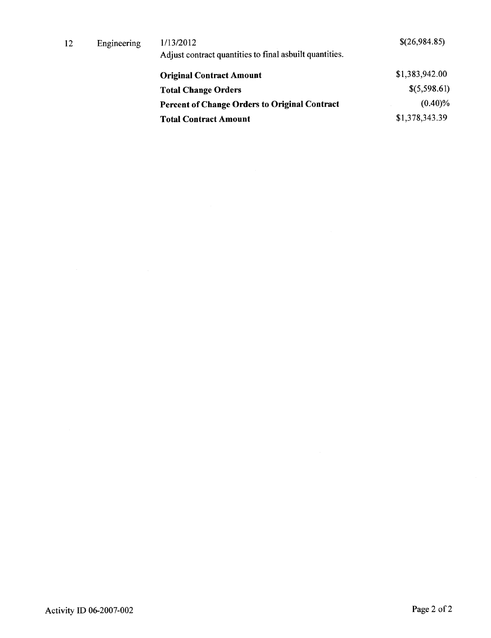| 12 | Engineering | 1/13/2012<br>Adjust contract quantities to final asbuilt quantities. | \$(26,984.85)  |
|----|-------------|----------------------------------------------------------------------|----------------|
|    |             | <b>Original Contract Amount</b>                                      | \$1,383,942.00 |
|    |             | <b>Total Change Orders</b>                                           | \$(5,598.61)   |
|    |             | <b>Percent of Change Orders to Original Contract</b>                 | $(0.40)\%$     |
|    |             | <b>Total Contract Amount</b>                                         | \$1,378,343.39 |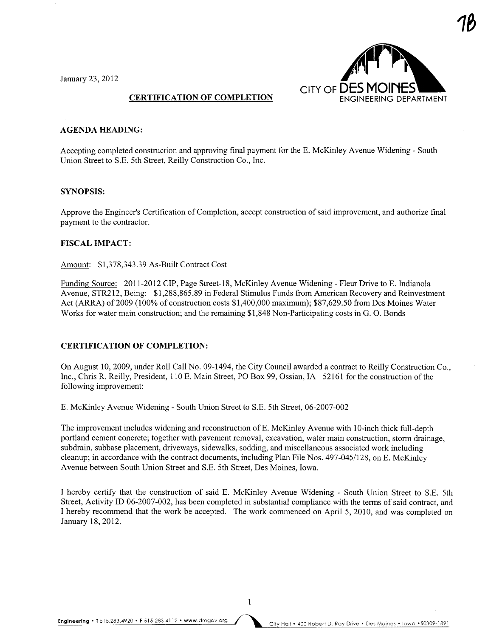January 23,2012



1ß

#### CERTIFICATION OF COMPLETION

#### AGENDA HEADING:

Accepting completed construction and approving final payment for the E. McKinley Avenue Widening - South Union Street to S.E. 5th Street, Reilly Construction Co., Inc.

#### SYNOPSIS:

Approve the Engineer's Certification of Completion, accept construction of said improvement, and authorize final payment to the contractor.

#### FISCAL IMPACT:

Amount: \$1,378,343.39 As-Built Contract Cost

Funding Source: 2011-2012 CIP, Page Street-18, McKinley Avenue Widening - Fleur Drive to E. Indianola Avenue, STR212, Being: \$1,288,865.89 in Federal Stimulus Funds from American Recovery and Reinvestment Act (ARRA) of 2009 (100% of construction costs \$1,400,000 maximum); \$87,629.50 from Des Moines Water Works for water main construction; and the remaining \$1,848 Non-Participating costs in G. O. Bonds

#### CERTIFICATION OF COMPLETION:

On August 10,2009, under Roll Call No. 09-1494, the City Council awarded a contract to Reily Construction Co., Inc., Chris R. Reilly, President, 110 E. Main Street, PO Box 99, Ossian, IA 52161 for the construction of the following improvement:

E. McKinley Avenue Widening - South Union Street to S.E. 5th Street, 06-2007-002

The improvement includes widening and reconstruction ofE. McKinley Avenue with 1O-inch thick full-depth portland cement concrete; together with pavement removal, excavation, water main construction, storm drainage, subdrain, subbase placement, driveways, sidewalks, sodding, and miscellaneous associated work including cleanup; in accordance with the contract documents, including Plan File Nos. 497-045/128, on E. McKinley Avenue between South Union Street and S.E. 5th Street, Des Moines, Iowa.

I hereby certify that the construction of said E. McKinley Avenue Widening - South Union Street to S.E. 5th Street, Activity ID 06-2007-002, has been completed in substantial compliance with the terms of said contract, and I hereby recommend that the work be accepted. The work commenced on April 5,2010, and was completed on January 18,2012.

 $\mathbf{1}$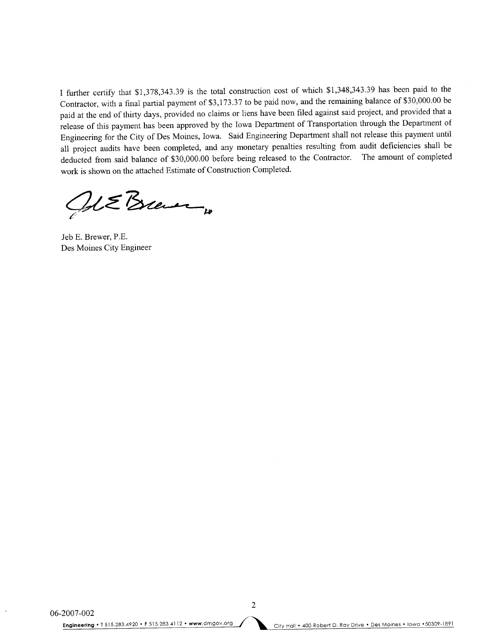I further certify that \$1,378,343.39 is the total construction cost of which \$1,348,343.39 has been paid to the Contractor, with a final partial payment of \$3,173.37 to be paid now, and the remaining balance of \$30,000.00 be paid at the end of thirty days, provided no claims or liens have been filed against said project, and provided that a release of this payment has been approved by the Iowa Department of Transportation through the Department of Engineering for the City of Des Moines, Iowa. Said Engineering Department shall not release this payment until all project audits have been completed, and any monetary penalties resulting from audit deficiencies shall be deducted from said balance of \$30,000.00 before being released to the Contractor. The amount of completed work is shown on the attached Estimate of Construction Completed.

al EBrever

Jeb E. Brewer, P.E. Des Moines City Engineer

2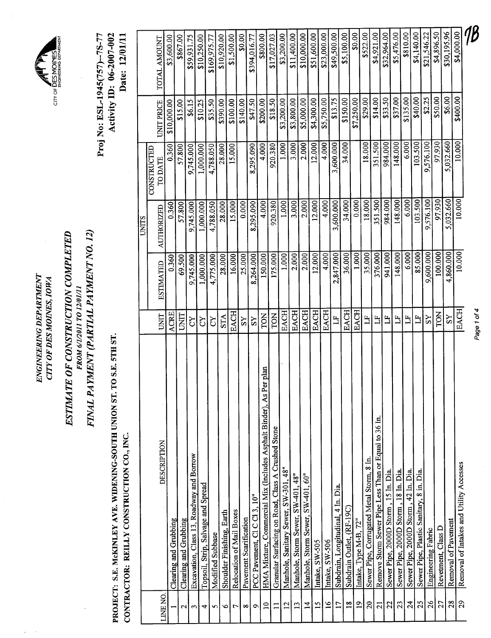ENGINEERING DEPARTMENT ENGINEERING DEPARTMENT CITY OF DES MOINES, IOWA CITY OF DES MOINES, IOWA

 $\hat{\boldsymbol{\beta}}$  $\bar{\beta}$ 

~

CITY OF DES MOINES

CITY OF DES MOINES

# ESTIMATE OF CONSTRUCTION COMPLETED ESTIMATE OF CONSTRUCTION COMPLETED **FROM 6/1/2011 ТО 12/01/11** FROM 6/1/2011 TO 12/01/11

FINAL PAYMENT (PARTIAL PAYMENT NO. 12) FINAL PAYMENT (PARTIAL PA YMENT NO. 12)

PROJECT: S.E. MCKINLEY AVE. WIDENING-SOUTH UNION ST. TO S.E. STH ST. PROJECT: S.E. McKINLEY AVE. WIDENING-SOUTH UNION ST. TO S.E. 5TH ST. CONTRACTOR: REILLY CONSTRUCTION CO., INC.

CONTRACTOR: REILLY CONSTRUCTION CO., INC.

Proj No: ESL-1945(757)--7S-77 Activity ID: 06-2007-002 Date: 12/01/11 Proj No: ESL-1945(757)--7S-77 Activity ID: 06-2007-002 Date: 12/01/11

|                   |                                                                    |              |                  | <b>UNITS</b>      |                               |                   |              |
|-------------------|--------------------------------------------------------------------|--------------|------------------|-------------------|-------------------------------|-------------------|--------------|
| LINE NO.          | DESCRIPTION                                                        | <b>UNIT</b>  | <b>ESTIMATED</b> | <b>AUTHORIZED</b> | <b>CONSTRUCTED</b><br>TO DATE | <b>UNIT PRICE</b> | TOTAL AMOUNT |
|                   | Clearing and Grubbing                                              | ACRE         | 0.360            | 0.360             | 0.360                         | \$10,000.00       | \$3,600.00   |
| $\mathbf{\Omega}$ | Clearing and Grubbing                                              | UNIT         | 69.500           | 57,800            | 57.800                        | \$15.00           | \$867.00     |
| $\mathbf{r}$      | Excavation, Class 13, Roadway and Borrow                           | <b>Z</b>     | 9,745.000        | 9,745.000         | 9,745.000                     | \$6.15            | \$59,931.75  |
| 4                 | Topsoil, Strip, Salvage and Spread                                 | č            | 1,000.000        | 1.000.000         | 1,000.000                     | \$10.25           | \$10,250.00  |
| 5                 | Modified Subbase                                                   | ζX           | 4,775.000        | 4,788.050         | 4,788.050                     | \$35.50           | \$169,975.77 |
| $\bullet$         | Shoulder Finishing, Earth                                          | <b>STA</b>   | 28.000           | 28.000            | 28.000                        | \$390.00          | \$10,920.00  |
| $\overline{ }$    | Relocation of Mail Boxes                                           | EACH         | 16.000           | 15.000            | 15.000                        | \$100.00          | \$1,500.00   |
| ∞                 | Pavement Scarification                                             | ΣŠ           | 25.000           | 0.000             |                               | \$140.00          | \$0.00       |
| $\circ$           | PCC Pavement, Cl C Cl 3, 10"                                       | SS           | 8,264.000        | 8,295.090         | 8,295.090                     | \$47.50           | \$394,016.77 |
| $\Xi$             | HMA Mixture, Commercial Mix (Includes Asphalt Binder), As Per plan | <b>NOL</b>   | 150.000          | 4.000             | 4.000                         | \$200.00          | \$800.00     |
| $\overline{1}$    | Granular Surfacing on Road, Class A Crushed Stone                  | <b>TON</b>   | 175.000          | 920.380           | 920.380                       | \$18.50           | \$17,027.03  |
| $\overline{2}$    | .48"<br>Manhole, Sanitary Sewer, SW-301                            | EACH         | 1.000            | 1.000             | 1.000                         | \$3,200.00        | \$3,200.00   |
| 13                | Manhole, Storm Sewer, SW-401, 48"                                  | EACH         | 2.000            | 3.000             | 3.000                         | \$3,800.00        | \$11,400.00  |
| $\overline{1}$    | Manhole, Storm Sewer, SW-401, 60"                                  | <b>EACH</b>  | 2.000            | 2.000             | 2.000                         | \$5,000.00        | \$10,000.00  |
| $\overline{15}$   | Intake, SW-505                                                     | <b>EACH</b>  | 12.000           | 12.000            | 12.000                        | \$4,300.00        | \$51,600.00  |
| $\frac{8}{16}$    | Intake, SW-506                                                     | <b>EACH</b>  | 4.000            | 4.000             | 4.000                         | \$5,750.00        | \$23,000.00  |
| $\overline{17}$   | Subdrain, Longitudinal, 4 In. Dia.                                 | Ë            | 2,847.000        | 3,600.000         | 3,600.000                     | \$13.75           | \$49,500.00  |
| $\frac{8}{10}$    | Subdrain Outlet, (RF-19C)                                          | <b>EACH</b>  | 36.000           | 34.000            | 34.000                        | \$150.00          | \$5,100.00   |
| $\overline{19}$   | Intake, Type M-B, 72"                                              | <b>EACH</b>  | 1.000            | 0.000             |                               | \$7,250.00        | \$0.00       |
| 20                | Sewer Pipe, Corrugated Metal Storm, 8 In.                          | Ë            | 35.000           | 18.000            | 18.000                        | \$29.00           | \$522.00     |
| $\overline{z}$    | Remove Storm Sewer Pipe Less Than or Equal to 36 In.               | H            | 376.000          | 351.500           | 351.500                       | \$14.00           | \$4,921.00   |
| 22                | Sewer Pipe, 2000D Storm, 15 In. Dia.                               | Ë            | 941.000          | 984.000           | 984.000                       | \$33.50           | \$32,964.00  |
| 23                | Sewer Pipe, 2000D Storm, 18 In. Dia.                               | $\mathbb{H}$ | 148.000          | 148.000           | 148.000                       | \$37.00           | \$5,476.00   |
| $\frac{24}{3}$    | Sewer Pipe, 2000D Storm, 42 In. Dia.                               | Ë            | 6.000            | 6.000             | 6.000                         | \$135.00          | \$810.00     |
| 25                | Sewer Pipe, Plastic Sanitary, 8 in. Dia.                           | H            | 85.000           | 103.500           | 103.500                       | \$40.00           | \$4,140.00   |
| 26                | Engineering Fabric                                                 | $_{\rm SS}$  | 9,600.000        | 9,576.100         | 9,576.100                     | \$2.25            | \$21,546.22  |
| 27                | Revetment, Class D                                                 | TON          | 100.000          | 97.930            | 97.930                        | \$50.00           | \$4,896.50   |
| 28                | Removal of Pavement                                                | $_{\rm SS}$  | 4,860.000        | 5,032.660         | 5,032.660                     | \$6.00            | \$30,195.96  |
| 29                | Removal of Intakes and Utility Accesses                            | EACH         | 10.000           | 10.000            | 10.000                        | \$400.00          | \$4,000.00   |
|                   |                                                                    |              |                  |                   |                               |                   | I,           |

Page 10f4

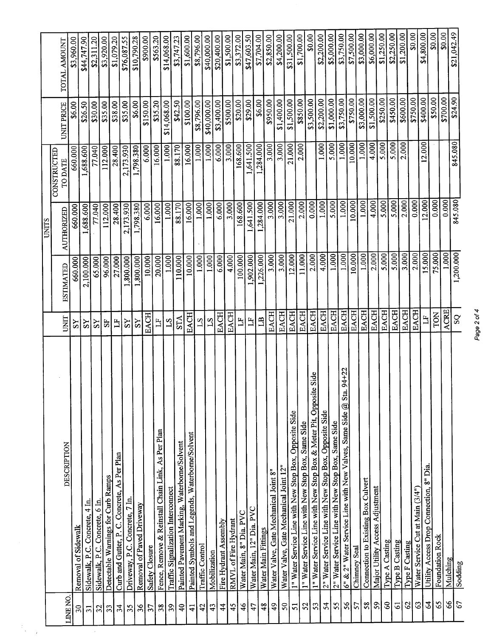|                               |                                                                         |                         |                  | UNITS      |                        |                              |              |
|-------------------------------|-------------------------------------------------------------------------|-------------------------|------------------|------------|------------------------|------------------------------|--------------|
|                               | DESCRIPTION                                                             | <b>UNIT</b>             | <b>ESTIMATED</b> | AUTHORIZED | CONSTRUCTED<br>TO DATE | UNIT PRICE                   | TOTAL AMOUNT |
| <b>INENO</b><br>$\mathbf{50}$ | Removal of Sidewalk                                                     | $_{\rm SS}$             | 660.000          | 660.000    | 660.000                | \$6.00                       | \$3,960.00   |
| $\overline{31}$               | Sidewalk, P.C. Concrete, 4 In                                           | SS                      | 2,100.000        | 1,688.600  | 1,688.600              | \$26.50                      | \$44,747.90  |
| 32                            | Sidewalk, P.C. Concrete, 6 In.                                          | SS                      | 65.000           | 77.040     | 77.040                 | \$30.00                      | \$2,311.20   |
| 33                            | Detectable Warnings for Curb Ramps                                      | 55                      | 96,000           | 112.000    | 112.000                | \$35.00                      | \$3,920.00   |
| 34                            | Curb and Gutter, P. C. Concrete, As Per Plan                            | $\mathbf{L}$            | 27.000           | 28.400     | 28.400                 | \$38.00                      | \$1,079.20   |
| 35                            | Driveway, P.C. Concrete, 7 In.                                          | $\overline{S}$          | 1,800.000        | 2,173.930  | 2,173.930              | \$35.00                      | \$76,087.55  |
| 36                            | Removal of Paved Driveway                                               | SS                      | ,800.000         | 1,798.380  | 1,798.380              | \$6.00                       | \$10,790.28  |
| 57                            | Safety Closure                                                          | <b>EACH</b>             | 10.000           | 6.000      | 6.000                  | \$150.00                     | \$900.00     |
| 38                            | Fence, Remove & Reinstall Chain Link, As Per Plan                       | $\overline{\mathbf{L}}$ | 20.000           | 16.000     | 16.000                 | \$35.20                      | \$563.20     |
| 39                            | Traffic Signalization Interconnect                                      | S <sub>1</sub>          | 1.000            | 1.000      | 1.000                  | \$14,068.00                  | \$14,068.00  |
| $\overline{4}$                | Painted Pavement Marking, Waterborne/Solvent                            | <b>STA</b>              | 110.000          | 88.170     | 88.170                 | \$42.50                      | \$3,747.23   |
| $\overline{4}$                | Painted Symbols and Legends, Waterborne/Solvent                         | <b>EACH</b>             | 10.000           | 16.000     | 16.000                 | \$100.00                     | \$1,600.00   |
| 42                            | Traffic Control                                                         | 21                      | 1.000            | 1.000      | 1.000                  | \$8,796.00                   | \$8,796.00   |
| 43                            | Mobilization                                                            | $ S_1 $                 | 1.000            | 1.000      | 1.000                  | \$40,000.00                  | \$40,000.00  |
| $\frac{4}{4}$                 | Fire Hydrant Assembly                                                   | <b>EACH</b>             | 6.000            | 6.000      | 6.000                  | \$3,400.00                   | \$20,400.00  |
| 45                            | RMVL of Fire Hydrant                                                    | EACH                    | 4.000            | 3.000      | 3.000                  | \$500.00                     | \$1,500.00   |
| $\frac{4}{6}$                 | Water Main, 8" Dia. PVC                                                 | $\mathbf{L}$            | 100.000          | 168.600    | 168.600                | \$20.00                      | \$3,372.00   |
| 47                            | Water Main, 12" Dia. PVC                                                | $\mathbb{H}$            | ,902.000         | 1,641.500  | ,641.500               | \$29.00                      | \$47,603.50  |
| 48                            | Water Main Fittings                                                     | B                       | 226.000          | ,284.000   | 1,284.000              | \$6.00                       | \$7,704.00   |
| $\frac{6}{7}$                 | Water Valve, Gate Mechanical Joint 8"                                   | <b>EACH</b>             | 3.000            | 3.000      | 3.000                  | \$950.00                     | \$2,850.00   |
| $50\,$                        | Water Valve, Gate Mechanical Joint 12"                                  | <b>EACH</b>             | 3.000            | 3.000      | 3.000                  | \$1,400.00                   | \$4,200.00   |
| 51                            | 1" Water Service Line with New Stop Box, Opposite Side                  | <b>EACH</b>             | 12.000           | 21.000     | 21.000                 | \$1,500.00                   | \$31,500.00  |
| 52                            | 1" Water Service Line with New Stop Box, Same Side                      | <b>EACH</b>             | 11.000           | 2.000      | 2.000                  | \$850.00                     | 81,700.00    |
| 53                            | 1" Water Service Line with New Stop Box & Meter Pit, Opposite Side      | EACH                    | 2.000            | 0.000      |                        | \$3,500.00                   | \$0.00       |
| 54                            | 2" Water Service Line with New Stop Box, Opposite Side                  | <b>EACH</b>             | 4.000            | 1.000      | 1.000                  | \$2,200.00                   | \$2,200.00   |
| 55                            | 2" Water Service Line with New Stop Box, Same Side                      | <b>EACH</b>             | 1.000            | 5.000      | 5.000                  | \$1,000.00                   | \$5,000.00   |
| 56                            | 94+22<br>6" & 2" Water Service Line with New Valves, Same Side $@$ Sta. | EACH                    | 1.000            | 1.000      | 1.000                  | $\frac{$3,750.00}{\$750.00}$ | \$3,750.00   |
| 57                            | Chimney Seal                                                            | <b>EACH</b>             | 10.000           | 10.000     | 10.000                 |                              | \$7,500.00   |
| $58\,$                        | Connection to Existing Box Culvert                                      | <b>EACH</b>             | 1.000            | 1.000      | 1.000                  | \$3,000.00                   | 83,000.00    |
| 59                            | Major Utility Access Adjustment                                         | <b>EACH</b>             | 2.000            | 4.000      | 4.000                  | \$1,500.00                   | \$6,000.00   |
| $\mbox{S}$                    | Type A Casting                                                          | EACH                    | 5.000            | 5.000      | 5.000                  | \$250.00                     | \$1,250.00   |
| $\overline{6}$                | Type B Casting                                                          | <b>EACH</b>             | 5.000            | 5.000      | 5.000                  | \$450.00                     | \$2,250.00   |
| 62                            | Type F Casting                                                          | <b>EACH</b>             | 3.000            | 2.000      | 2.000                  | \$600.00                     | \$1,200.00   |
| 63                            | Water Service Cut at Main (3/4")                                        | <b>EACH</b>             | 2.000            | 0.000      |                        | \$750.00                     | \$0.00       |
| $\mathcal{L}$                 | Utility Access Drop Connection, 8" Dia.                                 | H                       | 15.000           | 2.000      | 12.000                 | \$400.00                     | \$4,800.00   |
| 65                            | Foundation Rock                                                         | TON                     | 75.000           | 0.000      |                        | \$50.00                      | \$0.00       |
| 89                            | Mulching                                                                | <b>ACRE</b>             | 1.000            | 0.000      |                        | \$700.00                     | \$0.00       |
| 67                            | Sodding                                                                 | SQ                      | 1,200.000        | 845.080    | 845.080                | \$24.90                      | \$21,042.49  |

 $\bar{\phantom{a}}$ 

Page 2 of 4 Page 2 of 4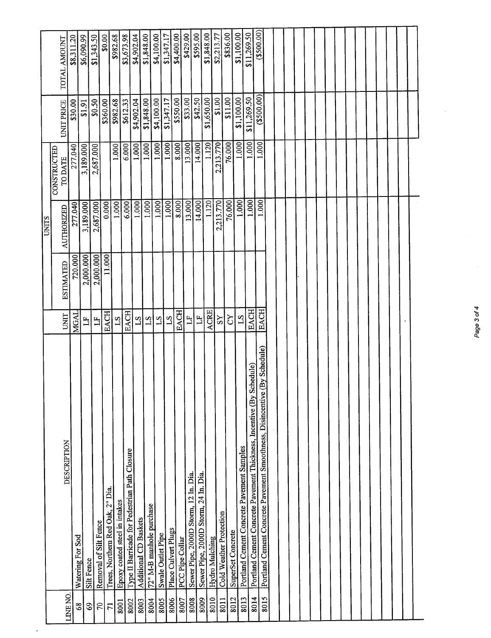|                                |                                                                             |                         |                  | <b>UNITS</b>      |                               |                   |              |
|--------------------------------|-----------------------------------------------------------------------------|-------------------------|------------------|-------------------|-------------------------------|-------------------|--------------|
|                                | DESCRIPTION                                                                 | UNIT                    | <b>ESTIMATED</b> | <b>AUTHORIZED</b> | <b>CONSTRUCTED</b><br>TO DATE | <b>UNIT PRICE</b> | TOTAL AMOUNT |
| LINE NO.                       |                                                                             | MGAL                    | 720.000          | 277.040           | 277.040                       | \$30.00           | \$8,311.20   |
| 68                             | Watering For Sod<br>Silt Fence                                              | 비                       | 2,000.000        | 3,189.000         | 3,189.000                     | \$1.91            | \$6,090.99   |
| $\mathcal{S}$<br>$\mathcal{L}$ | Removal of Silt Fence                                                       | $\overline{\mathbf{L}}$ | 2,000.000        | 2,687.000         | 2,687.000                     | \$0.50            | \$1,343.50   |
| $\overline{7}$                 | Trees, Northern Red Oak, 2" Dia.                                            | <b>EACH</b>             | 11.000           | 0.000             |                               | \$360.00          | \$0.00       |
| 8001                           | Epoxy coated steel in intakes                                               | $\overline{S1}$         |                  | 1.000             | 1.000                         | \$982.68          | \$982.68     |
| 8002                           | Type II Barricade for Pedestrian Path Closure                               | <b>EACH</b>             |                  | 6.000             | 6.000                         | \$612.33          | \$3,673.98   |
| 8003                           | Additional CD Baskets                                                       | $\overline{51}$         |                  | 1.000             | 1.000                         | \$4,902.04        | \$4,902.04   |
| 8004                           | 72" M-B manhole purchase                                                    | $^{21}$                 |                  | 1.000             | 1.000                         | \$1,848.00        | \$1,848.00   |
| 8005                           | Swale Outlet Pipe                                                           | $^{21}$                 |                  | 1.000             | 1.000                         | \$4,100.00        | \$4,100.00   |
| 8006                           | Place Culvert Plugs                                                         | $^{2}$                  |                  | 1,000             | 1.000                         | \$1,347.17        | \$1,347.17   |
| 8007                           | PCC Pipe Collar                                                             | <b>EACH</b>             |                  | 8.000             | 8.000                         | \$550.00          | \$4,400.00   |
| 8008                           | Sewer Pipe, 2000D Storm, 12 In. Dia.                                        | $\overline{\Xi}$        |                  | 13.000            | 13.000                        | \$33.00           | \$429.00     |
| 8009                           | Sewer Pipe, 2000D Storm, 24 In. Dia.                                        | $\mathbf{L}$            |                  | 14.000            | 14.000                        | \$42.50           | \$595.00     |
| 8010                           | Hydro Mulching                                                              | <b>ACRE</b>             |                  | 1.120             | 1.120                         | \$1,650.00        | \$1,848.00   |
|                                |                                                                             | SS                      |                  | 2,213.770         | 2,213.770                     | \$1.00            | \$2,213.77   |
| 8011                           | Cold Weather Protection                                                     | <b>ZQ</b>               |                  | 76.000            | 76.000                        | \$11.00           | \$836.00     |
| 8012                           | SuperSet Concrete                                                           | 51                      |                  | 1.000             | 1.000                         | \$1,100.00        | \$1,100.00   |
| 8013                           | Portland Cement Concrete Pavement Samples                                   | <b>EACH</b>             |                  | 1.000             | 1.000                         | \$11,269.50       | \$11,269.50  |
| 8014                           | Portland Cement Concrete Pavement Thickness, Incentive (By Schedule)        | <b>EACH</b>             |                  | 1.000             | 1.000                         | (3500.00)         | (3500.00)    |
| 8015                           | (By Schedule)<br>Portland Cement Concrete Pavement Smoothness, Disincentive |                         |                  |                   |                               |                   |              |
|                                |                                                                             |                         |                  |                   |                               |                   |              |
|                                |                                                                             |                         |                  |                   |                               |                   |              |
|                                |                                                                             |                         |                  |                   |                               |                   |              |
|                                |                                                                             |                         |                  |                   |                               |                   |              |
|                                |                                                                             |                         |                  |                   |                               |                   |              |
|                                |                                                                             |                         |                  |                   |                               |                   |              |
|                                |                                                                             |                         |                  |                   |                               |                   |              |
|                                |                                                                             |                         |                  |                   |                               |                   |              |
|                                |                                                                             |                         |                  |                   |                               |                   |              |
|                                |                                                                             |                         |                  |                   |                               |                   |              |
|                                |                                                                             |                         |                  |                   |                               |                   |              |
|                                |                                                                             |                         |                  |                   |                               |                   |              |
|                                |                                                                             |                         |                  |                   |                               |                   |              |
|                                |                                                                             |                         |                  |                   |                               |                   |              |
|                                |                                                                             |                         |                  |                   |                               |                   |              |